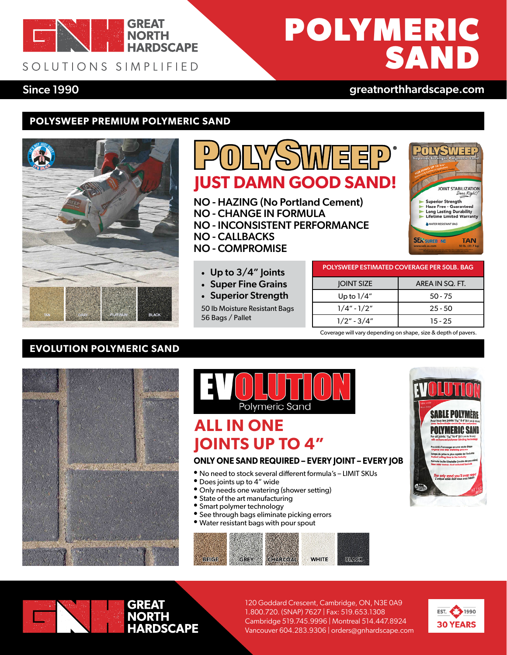

### SOLUTIONS SIMPLIFIED

# **POLYMERIC SAND**

### Since 1990 **Grays and Science 1990** [greatnorthhardscape.com](https://greatnorthhardscape.com)

### **POLYSWEEP PREMIUM POLYMERIC SAND**



### ্য<br>ট **JUST DAMN GOOD SAND!**

NO - HAZING (No Portland Cement) NO - CHANGE IN FORMULA NO - INCONSISTENT PERFORMANCE NO - CALLBACKS NO - COMPROMISE



| POLYSWEEP ESTIMATED COVERAGE PER 50LB. BAG |                 |
|--------------------------------------------|-----------------|
| <b>JOINT SIZE</b>                          | AREA IN SQ. FT. |
| Up to $1/4"$                               | $50 - 75$       |
| $1/4" - 1/2"$                              | $25 - 50$       |

 $1/2" - 3/4"$  15 - 25 Coverage will vary depending on shape, size & depth of pavers.

### **EVOLUTION POLYMERIC SAND**





### **ALL IN ONE JOINTS UP TO 4"**

#### **ONLY ONE SAND REQUIRED – EVERY JOINT – EVERY JOB**

- No need to stock several different formula's LIMIT SKUs
- •Does joints up to 4" wide
- Only needs one watering (shower setting)
- State of the art manufacturing

• Up to 3/4" Joints • Super Fine Grains • Superior Strength

50 lb Moisture Resistant Bags

56 Bags / Pallet

- •Smart polymer technology
- **•** See through bags eliminate picking errors
- Water resistant bags with pour spout







120 Goddard Crescent, Cambridge, ON, N3E 0A9 1.800.720. (SNAP) 7627 | Fax: 519.653.1308 Cambridge 519.745.9996 | Montreal 514.447.8924 Vancouver 604.283.9306 | orders@gnhardscape.com